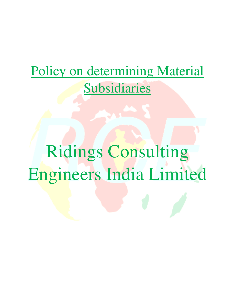# Policy on determining Material Subsidiaries

# Ridings Consulting Engineers India Limited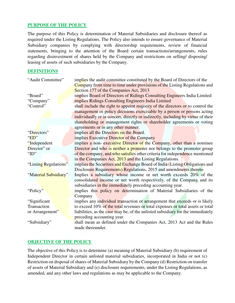### **PURPOSE OF THE POLICY**

The purpose of this Policy is determination of Material Subsidiaries and disclosure thereof as required under the Listing Regulations. The Policy also intends to ensure governance of Material Subsidiary companies by complying with directorship requirements, review of financial statements, bringing to the attention of the Board certain transactions/arrangements, rules regarding disinvestment of shares held by the Company and restrictions on selling/ disposing/ leasing of assets of such subsidiaries by the Company.

#### **DEFINITIONS**

| "Audit Committee"<br>"Board"<br>"Company"<br>"Control" | implies the audit committee constituted by the Board of Directors of the<br>Company from time to time under provisions of the Listing Regulations and<br>Section 177 of the Companies Act, 2013<br>implies Board of Directors of Ridings Consulting Engineers India Limited<br>implies Ridings Consulting Engineers India Limited<br>shall include the right to appoint majority of the directors or to control the<br>management or policy decisions exercisable by a person or persons acting<br>individually or in concert, directly or indirectly, including by virtue of their |
|--------------------------------------------------------|-------------------------------------------------------------------------------------------------------------------------------------------------------------------------------------------------------------------------------------------------------------------------------------------------------------------------------------------------------------------------------------------------------------------------------------------------------------------------------------------------------------------------------------------------------------------------------------|
|                                                        | shareholding or management rights or shareholder agreements or voting                                                                                                                                                                                                                                                                                                                                                                                                                                                                                                               |
| "Directors"<br>" $ED"$                                 | agreements or in any other manner.<br>implies all the Directors on the Board.<br>implies Executive Director of the Company                                                                                                                                                                                                                                                                                                                                                                                                                                                          |
| "Independent                                           | implies a non-executive Director of the Company, other than a nominee                                                                                                                                                                                                                                                                                                                                                                                                                                                                                                               |
| Director" or<br>" $ID"$                                | Director and who is neither a promoter nor belongs to the promoter group<br>of the company, and who satisfies other criteria for independence mentioned<br>in the Companies Act, 2013 and the Listing Regulations.                                                                                                                                                                                                                                                                                                                                                                  |
| "Listing Regulations"                                  | implies the Securities and Exchange Board of India (Listing Obligations and<br>Disclosure Requirements) Regulations, 2015 and amendments thereto                                                                                                                                                                                                                                                                                                                                                                                                                                    |
| "Material Subsidiary"                                  | Implies a subsidiary whose income or net worth exceeds 20% of the<br>consolidated income or net worth respectively, of the Company and its<br>subsidiaries in the immediately preceding accounting year.                                                                                                                                                                                                                                                                                                                                                                            |
| "Policy"                                               | implies this policy on determination of Material Subsidiaries of the<br>Company                                                                                                                                                                                                                                                                                                                                                                                                                                                                                                     |
| "Significant"                                          | implies any individual transaction or arrangement that exceeds or is likely                                                                                                                                                                                                                                                                                                                                                                                                                                                                                                         |
| Transaction                                            | to exceed 10% of the total revenues or total expenses or total assets or total                                                                                                                                                                                                                                                                                                                                                                                                                                                                                                      |
| or Arrangement"                                        | liabilities, as the case may be, of the unlisted subsidiary for the immediately<br>preceding accounting year.                                                                                                                                                                                                                                                                                                                                                                                                                                                                       |
| "Subsidiary"                                           | shall mean as defined under the Companies Act, 2013 Act and the Rules<br>made thereunder.                                                                                                                                                                                                                                                                                                                                                                                                                                                                                           |

# **OBJECTIVE OF THE POLICY**

The objective of this Policy is to determine (a) meaning of Material Subsidiary (b) requirement of Independent Director in certain unlisted material subsidiaries, incorporated in India or not (c) Restriction on disposal of shares of Material Subsidiary by the Company (d) Restriction on transfer of assets of Material Subsidiary and (e) disclosure requirements, under the Listing Regulations, as amended, and any other laws and regulations as may be applicable to the Company.